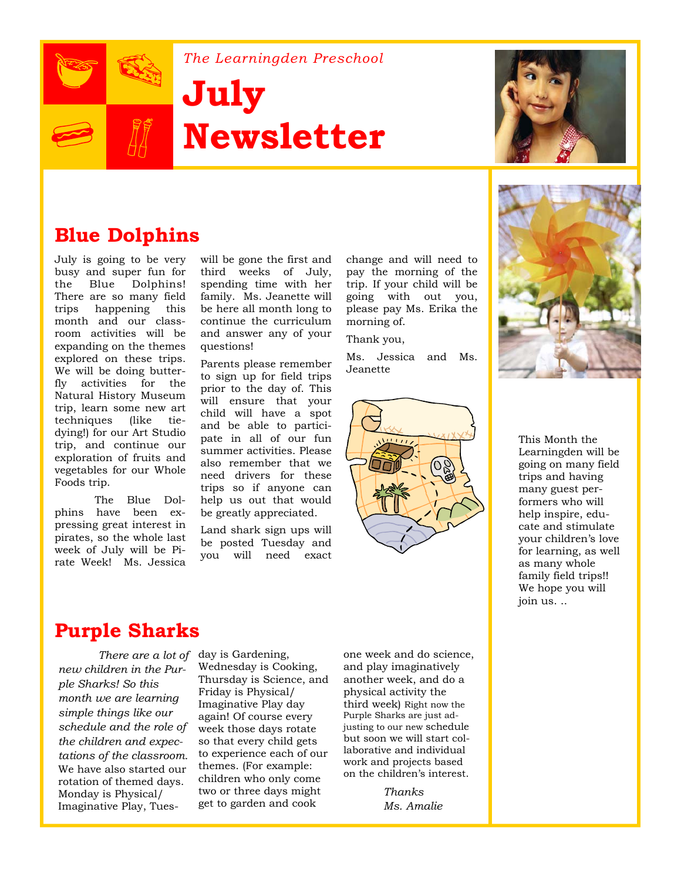

*The Learningden Preschool* 

# **July Newsletter**



## **Blue Dolphins**

July is going to be very busy and super fun for the Blue Dolphins! There are so many field trips happening this month and our classroom activities will be expanding on the themes explored on these trips. We will be doing butterfly activities for the Natural History Museum trip, learn some new art techniques (like tiedying!) for our Art Studio trip, and continue our exploration of fruits and vegetables for our Whole Foods trip.

 The Blue Dolphins have been expressing great interest in pirates, so the whole last week of July will be Pirate Week! Ms. Jessica

will be gone the first and third weeks of July, spending time with her family. Ms. Jeanette will be here all month long to continue the curriculum and answer any of your questions!

Parents please remember to sign up for field trips prior to the day of. This will ensure that your child will have a spot and be able to participate in all of our fun summer activities. Please also remember that we need drivers for these trips so if anyone can help us out that would be greatly appreciated.

Land shark sign ups will be posted Tuesday and you will need exact

change and will need to pay the morning of the trip. If your child will be going with out you, please pay Ms. Erika the morning of.

Thank you,

Ms. Jessica and Ms. Jeanette





This Month the Learningden will be going on many field trips and having many guest performers who will help inspire, educate and stimulate your children's love for learning, as well as many whole family field trips!! We hope you will join us. ..

#### **Purple Sharks**

*There are a lot of*  day is Gardening, *new children in the Purple Sharks! So this month we are learning simple things like our schedule and the role of the children and expectations of the classroom.*  We have also started our rotation of themed days. Monday is Physical/ Imaginative Play, Tues-

Wednesday is Cooking, Thursday is Science, and Friday is Physical/ Imaginative Play day again! Of course every week those days rotate so that every child gets to experience each of our themes. (For example: children who only come two or three days might get to garden and cook

one week and do science, and play imaginatively another week, and do a physical activity the third week) Right now the Purple Sharks are just adjusting to our new schedule but soon we will start collaborative and individual work and projects based on the children's interest.

> *Thanks Ms. Amalie*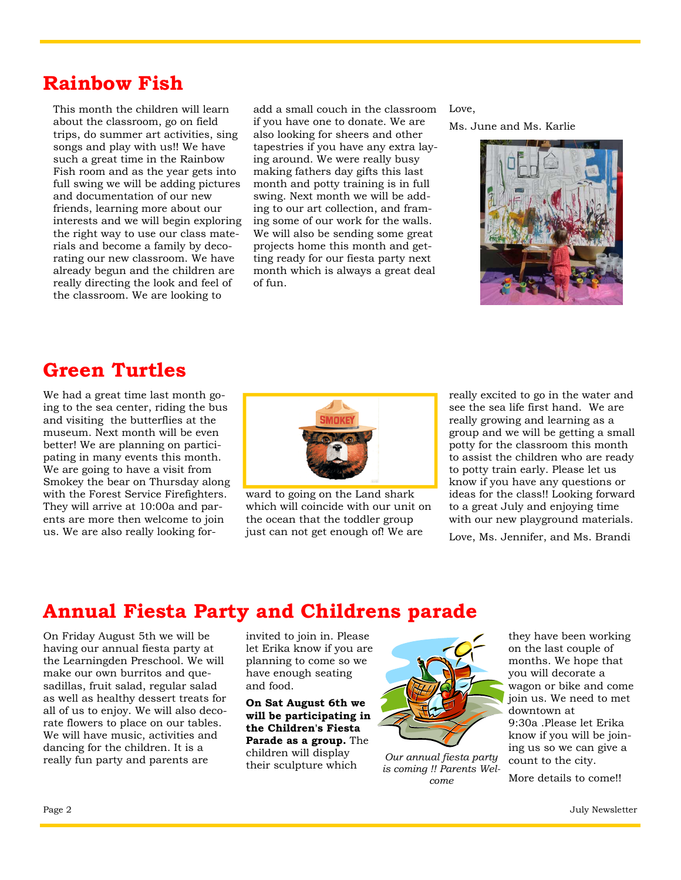#### **Rainbow Fish**

This month the children will learn about the classroom, go on field trips, do summer art activities, sing songs and play with us!! We have such a great time in the Rainbow Fish room and as the year gets into full swing we will be adding pictures and documentation of our new friends, learning more about our interests and we will begin exploring the right way to use our class materials and become a family by decorating our new classroom. We have already begun and the children are really directing the look and feel of the classroom. We are looking to

add a small couch in the classroom Love, if you have one to donate. We are also looking for sheers and other tapestries if you have any extra laying around. We were really busy making fathers day gifts this last month and potty training is in full swing. Next month we will be adding to our art collection, and framing some of our work for the walls. We will also be sending some great projects home this month and getting ready for our fiesta party next month which is always a great deal of fun.

Ms. June and Ms. Karlie



## **Green Turtles**

We had a great time last month going to the sea center, riding the bus and visiting the butterflies at the museum. Next month will be even better! We are planning on participating in many events this month. We are going to have a visit from Smokey the bear on Thursday along with the Forest Service Firefighters. They will arrive at 10:00a and parents are more then welcome to join us. We are also really looking for-



ward to going on the Land shark which will coincide with our unit on the ocean that the toddler group just can not get enough of! We are

really excited to go in the water and see the sea life first hand. We are really growing and learning as a group and we will be getting a small potty for the classroom this month to assist the children who are ready to potty train early. Please let us know if you have any questions or ideas for the class!! Looking forward to a great July and enjoying time with our new playground materials.

Love, Ms. Jennifer, and Ms. Brandi

# **Annual Fiesta Party and Childrens parade**

On Friday August 5th we will be having our annual fiesta party at the Learningden Preschool. We will make our own burritos and quesadillas, fruit salad, regular salad as well as healthy dessert treats for all of us to enjoy. We will also decorate flowers to place on our tables. We will have music, activities and dancing for the children. It is a really fun party and parents are

invited to join in. Please let Erika know if you are planning to come so we have enough seating and food.

**On Sat August 6th we will be participating in the Children's Fiesta Parade as a group.** The children will display their sculpture which



*Our annual fiesta party is coming !! Parents Welcome* 

they have been working on the last couple of months. We hope that you will decorate a wagon or bike and come join us. We need to met downtown at 9:30a .Please let Erika know if you will be joining us so we can give a count to the city.

More details to come!!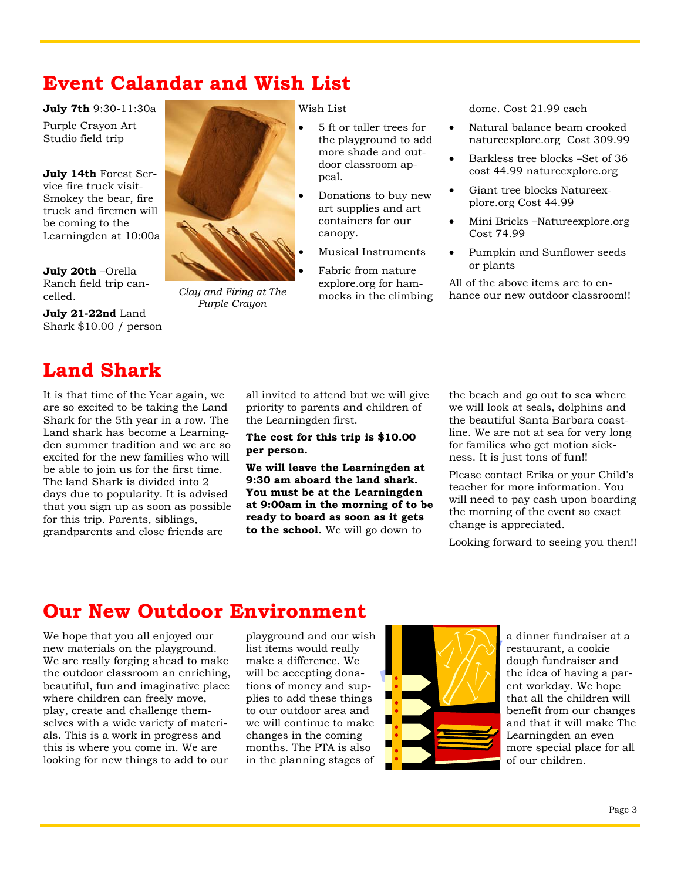#### **Event Calandar and Wish List**

*Clay and Firing at The Purple Crayon* 

**July 7th** 9:30-11:30a

Purple Crayon Art Studio field trip

**July 14th** Forest Service fire truck visit-Smokey the bear, fire truck and firemen will be coming to the Learningden at 10:00a

**July 20th** –Orella Ranch field trip cancelled.

**July 21-22nd** Land Shark \$10.00 / person

# **Land Shark**

It is that time of the Year again, we are so excited to be taking the Land Shark for the 5th year in a row. The Land shark has become a Learningden summer tradition and we are so excited for the new families who will be able to join us for the first time. The land Shark is divided into 2 days due to popularity. It is advised that you sign up as soon as possible for this trip. Parents, siblings, grandparents and close friends are

Wish List

- 5 ft or taller trees for the playground to add more shade and outdoor classroom appeal.
- Donations to buy new art supplies and art containers for our canopy.
- Musical Instruments

 Fabric from nature explore.org for hammocks in the climbing dome. Cost 21.99 each

- Natural balance beam crooked natureexplore.org Cost 309.99
- Barkless tree blocks –Set of 36 cost 44.99 natureexplore.org
- Giant tree blocks Natureexplore.org Cost 44.99
- Mini Bricks –Natureexplore.org Cost 74.99
- Pumpkin and Sunflower seeds or plants

All of the above items are to enhance our new outdoor classroom!!

all invited to attend but we will give priority to parents and children of the Learningden first.

**The cost for this trip is \$10.00 per person.** 

**We will leave the Learningden at 9:30 am aboard the land shark. You must be at the Learningden at 9:00am in the morning of to be ready to board as soon as it gets to the school.** We will go down to

the beach and go out to sea where we will look at seals, dolphins and the beautiful Santa Barbara coastline. We are not at sea for very long for families who get motion sickness. It is just tons of fun!!

Please contact Erika or your Child's teacher for more information. You will need to pay cash upon boarding the morning of the event so exact change is appreciated.

Looking forward to seeing you then!!

# **Our New Outdoor Environment**

We hope that you all enjoyed our new materials on the playground. We are really forging ahead to make the outdoor classroom an enriching, beautiful, fun and imaginative place where children can freely move, play, create and challenge themselves with a wide variety of materials. This is a work in progress and this is where you come in. We are looking for new things to add to our

playground and our wish list items would really make a difference. We will be accepting donations of money and supplies to add these things to our outdoor area and we will continue to make changes in the coming months. The PTA is also in the planning stages of



a dinner fundraiser at a restaurant, a cookie dough fundraiser and the idea of having a parent workday. We hope that all the children will benefit from our changes and that it will make The Learningden an even more special place for all of our children.